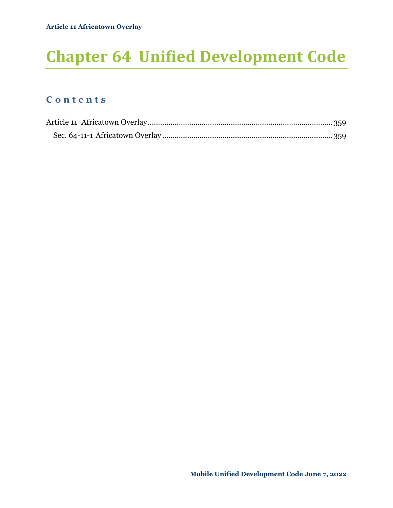# **Chapter 64 Unified Development Code**

## **C o n t e n t s**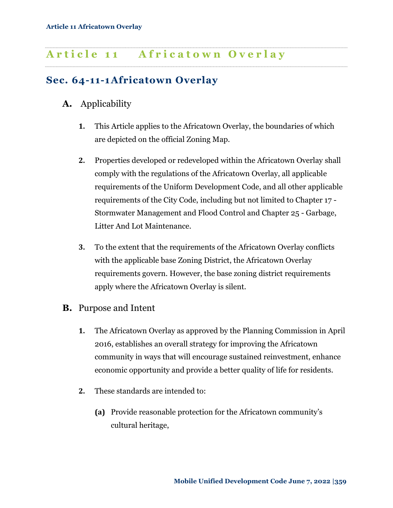## <span id="page-1-0"></span>**A r t i c l e 1 1 A f r i c a t o w n O v e r l a y**

## <span id="page-1-1"></span>**Sec. 64-11-1Africatown Overlay**

#### **A.** Applicability

**1.** This Article applies to the Africatown Overlay, the boundaries of which are depicted on the official Zoning Map.

- **2.** Properties developed or redeveloped within the Africatown Overlay shall comply with the regulations of the Africatown Overlay, all applicable requirements of the Uniform Development Code, and all other applicable requirements of the City Code, including but not limited to Chapter 17 - Stormwater Management and Flood Control and Chapter 25 - Garbage, Litter And Lot Maintenance.
- **3.** To the extent that the requirements of the Africatown Overlay conflicts with the applicable base Zoning District, the Africatown Overlay requirements govern. However, the base zoning district requirements apply where the Africatown Overlay is silent.
- **B.** Purpose and Intent
	- **1.** The Africatown Overlay as approved by the Planning Commission in April 2016, establishes an overall strategy for improving the Africatown community in ways that will encourage sustained reinvestment, enhance economic opportunity and provide a better quality of life for residents.
	- **2.** These standards are intended to:
		- **(a)** Provide reasonable protection for the Africatown community's cultural heritage,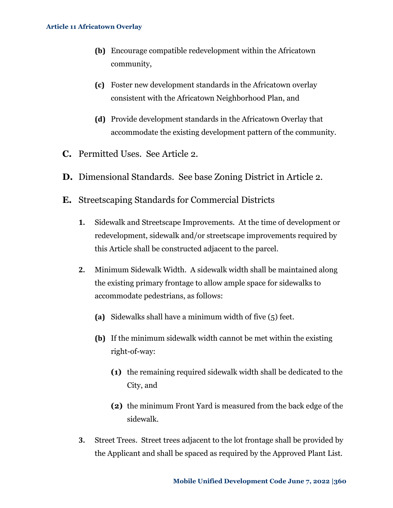- **(b)** Encourage compatible redevelopment within the Africatown community,
- **(c)** Foster new development standards in the Africatown overlay consistent with the Africatown Neighborhood Plan, and
- **(d)** Provide development standards in the Africatown Overlay that accommodate the existing development pattern of the community.
- **C.** Permitted Uses. See Article 2.
- **D.** Dimensional Standards. See base Zoning District in Article 2.
- **E.** Streetscaping Standards for Commercial Districts
	- **1.** Sidewalk and Streetscape Improvements. At the time of development or redevelopment, sidewalk and/or streetscape improvements required by this Article shall be constructed adjacent to the parcel.
	- **2.** Minimum Sidewalk Width. A sidewalk width shall be maintained along the existing primary frontage to allow ample space for sidewalks to accommodate pedestrians, as follows:
		- **(a)** Sidewalks shall have a minimum width of five (5) feet.
		- **(b)** If the minimum sidewalk width cannot be met within the existing right-of-way:
			- **(1)** the remaining required sidewalk width shall be dedicated to the City, and
			- **(2)** the minimum Front Yard is measured from the back edge of the sidewalk.
	- **3.** Street Trees. Street trees adjacent to the lot frontage shall be provided by the Applicant and shall be spaced as required by the Approved Plant List.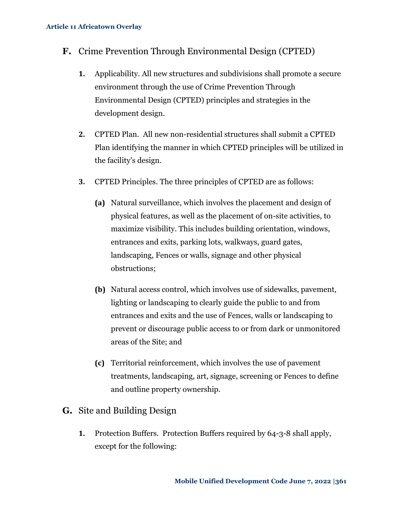- **F.** Crime Prevention Through Environmental Design (CPTED)
	- **1.** Applicability. All new structures and subdivisions shall promote a secure environment through the use of Crime Prevention Through Environmental Design (CPTED) principles and strategies in the development design.
	- **2.** CPTED Plan.All new non-residential structures shall submit a CPTED Plan identifying the manner in which CPTED principles will be utilized in the facility's design.
	- **3.** CPTED Principles. The three principles of CPTED are as follows:
		- **(a)** Natural surveillance, which involves the placement and design of physical features, as well as the placement of on-site activities, to maximize visibility. This includes building orientation, windows, entrances and exits, parking lots, walkways, guard gates, landscaping, Fences or walls, signage and other physical obstructions;
		- **(b)** Natural access control, which involves use of sidewalks, pavement, lighting or landscaping to clearly guide the public to and from entrances and exits and the use of Fences, walls or landscaping to prevent or discourage public access to or from dark or unmonitored areas of the Site; and
		- **(c)** Territorial reinforcement, which involves the use of pavement treatments, landscaping, art, signage, screening or Fences to define and outline property ownership.
- **G.** Site and Building Design
	- **1.** Protection Buffers. Protection Buffers required by 64-3-8 shall apply, except for the following: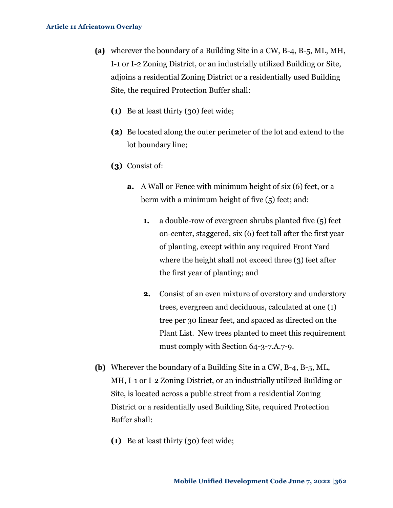#### **Article 11 Africatown Overlay**

- **(a)** wherever the boundary of a Building Site in a CW, B-4, B-5, ML, MH, I-1 or I-2 Zoning District, or an industrially utilized Building or Site, adjoins a residential Zoning District or a residentially used Building Site, the required Protection Buffer shall:
	- **(1)** Be at least thirty (30) feet wide;
	- **(2)** Be located along the outer perimeter of the lot and extend to the lot boundary line;
	- **(3)** Consist of:
		- **a.** A Wall or Fence with minimum height of six (6) feet, or a berm with a minimum height of five (5) feet; and:
			- **1.** a double-row of evergreen shrubs planted five (5) feet on-center, staggered, six (6) feet tall after the first year of planting, except within any required Front Yard where the height shall not exceed three (3) feet after the first year of planting; and
			- **2.** Consist of an even mixture of overstory and understory trees, evergreen and deciduous, calculated at one (1) tree per 30 linear feet, and spaced as directed on the Plant List. New trees planted to meet this requirement must comply with Section 64-3-7.A.7-9.
- **(b)** Wherever the boundary of a Building Site in a CW, B-4, B-5, ML, MH, I-1 or I-2 Zoning District, or an industrially utilized Building or Site, is located across a public street from a residential Zoning District or a residentially used Building Site, required Protection Buffer shall:
	- **(1)** Be at least thirty (30) feet wide;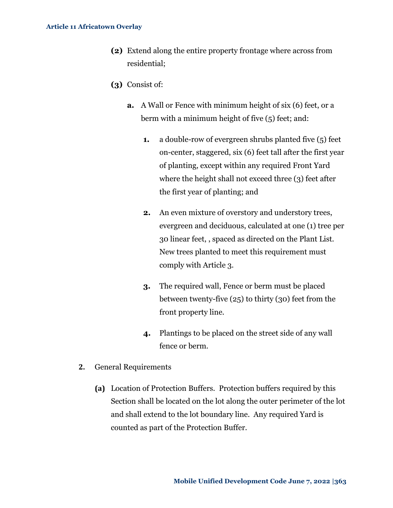- **(2)** Extend along the entire property frontage where across from residential;
- **(3)** Consist of:
	- **a.** A Wall or Fence with minimum height of six (6) feet, or a berm with a minimum height of five (5) feet; and:
		- **1.** a double-row of evergreen shrubs planted five (5) feet on-center, staggered, six (6) feet tall after the first year of planting, except within any required Front Yard where the height shall not exceed three (3) feet after the first year of planting; and
		- **2.** An even mixture of overstory and understory trees, evergreen and deciduous, calculated at one (1) tree per 30 linear feet, , spaced as directed on the Plant List. New trees planted to meet this requirement must comply with Article 3.
		- **3.** The required wall, Fence or berm must be placed between twenty-five (25) to thirty (30) feet from the front property line.
		- **4.** Plantings to be placed on the street side of any wall fence or berm.
- **2.** General Requirements
	- **(a)** Location of Protection Buffers. Protection buffers required by this Section shall be located on the lot along the outer perimeter of the lot and shall extend to the lot boundary line. Any required Yard is counted as part of the Protection Buffer.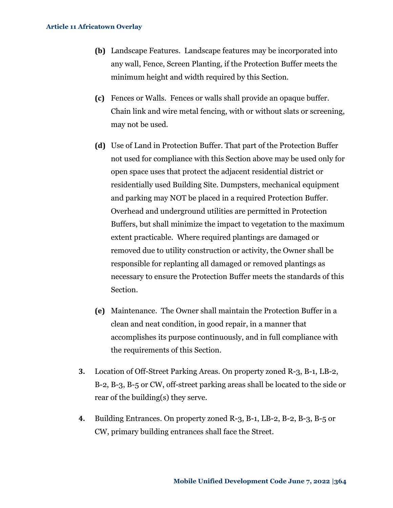#### **Article 11 Africatown Overlay**

- **(b)** Landscape Features. Landscape features may be incorporated into any wall, Fence, Screen Planting, if the Protection Buffer meets the minimum height and width required by this Section.
- **(c)** Fences or Walls. Fences or walls shall provide an opaque buffer. Chain link and wire metal fencing, with or without slats or screening, may not be used.
- **(d)** Use of Land in Protection Buffer. That part of the Protection Buffer not used for compliance with this Section above may be used only for open space uses that protect the adjacent residential district or residentially used Building Site. Dumpsters, mechanical equipment and parking may NOT be placed in a required Protection Buffer. Overhead and underground utilities are permitted in Protection Buffers, but shall minimize the impact to vegetation to the maximum extent practicable. Where required plantings are damaged or removed due to utility construction or activity, the Owner shall be responsible for replanting all damaged or removed plantings as necessary to ensure the Protection Buffer meets the standards of this Section.
- **(e)** Maintenance. The Owner shall maintain the Protection Buffer in a clean and neat condition, in good repair, in a manner that accomplishes its purpose continuously, and in full compliance with the requirements of this Section.
- **3.** Location of Off-Street Parking Areas. On property zoned R-3, B-1, LB-2, B-2, B-3, B-5 or CW, off-street parking areas shall be located to the side or rear of the building(s) they serve.
- **4.** Building Entrances. On property zoned R-3, B-1, LB-2, B-2, B-3, B-5 or CW, primary building entrances shall face the Street.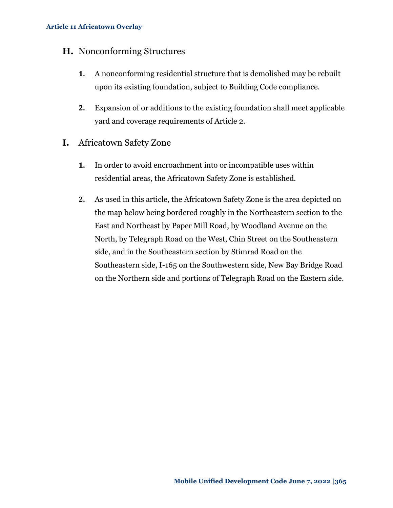#### **H.** Nonconforming Structures

- **1.** A nonconforming residential structure that is demolished may be rebuilt upon its existing foundation, subject to Building Code compliance.
- **2.** Expansion of or additions to the existing foundation shall meet applicable yard and coverage requirements of Article 2.
- **I.** Africatown Safety Zone
	- **1.** In order to avoid encroachment into or incompatible uses within residential areas, the Africatown Safety Zone is established.
	- **2.** As used in this article, the Africatown Safety Zone is the area depicted on the map below being bordered roughly in the Northeastern section to the East and Northeast by Paper Mill Road, by Woodland Avenue on the North, by Telegraph Road on the West, Chin Street on the Southeastern side, and in the Southeastern section by Stimrad Road on the Southeastern side, I-165 on the Southwestern side, New Bay Bridge Road on the Northern side and portions of Telegraph Road on the Eastern side.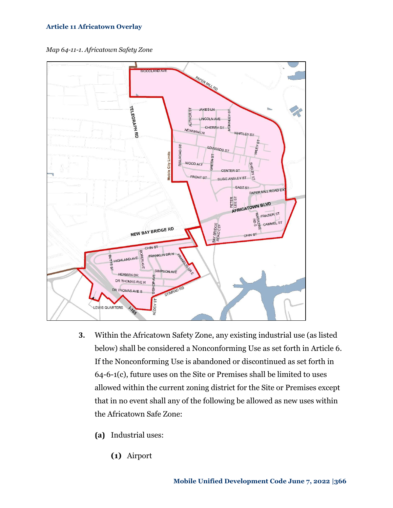#### **Article 11 Africatown Overlay**

*Map 64-11-1. Africatown Safety Zone*



- **3.** Within the Africatown Safety Zone, any existing industrial use (as listed below) shall be considered a Nonconforming Use as set forth in Article 6. If the Nonconforming Use is abandoned or discontinued as set forth in 64-6-1(c), future uses on the Site or Premises shall be limited to uses allowed within the current zoning district for the Site or Premises except that in no event shall any of the following be allowed as new uses within the Africatown Safe Zone:
	- **(a)** Industrial uses:
		- **(1)** Airport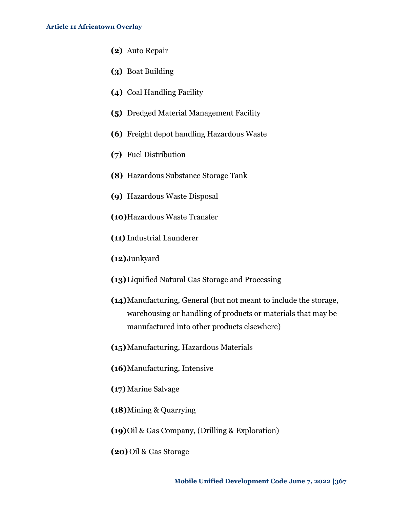- **(2)** Auto Repair
- **(3)** Boat Building
- **(4)** Coal Handling Facility
- **(5)** Dredged Material Management Facility
- **(6)** Freight depot handling Hazardous Waste
- **(7)** Fuel Distribution
- **(8)** Hazardous Substance Storage Tank
- **(9)** Hazardous Waste Disposal
- **(10)**Hazardous Waste Transfer
- **(11)** Industrial Launderer
- **(12)**Junkyard
- **(13)**Liquified Natural Gas Storage and Processing
- **(14)**Manufacturing, General (but not meant to include the storage, warehousing or handling of products or materials that may be manufactured into other products elsewhere)
- **(15)**Manufacturing, Hazardous Materials
- **(16)**Manufacturing, Intensive
- **(17)** Marine Salvage
- **(18)**Mining & Quarrying
- **(19)**Oil & Gas Company, (Drilling & Exploration)
- **(20)** Oil & Gas Storage